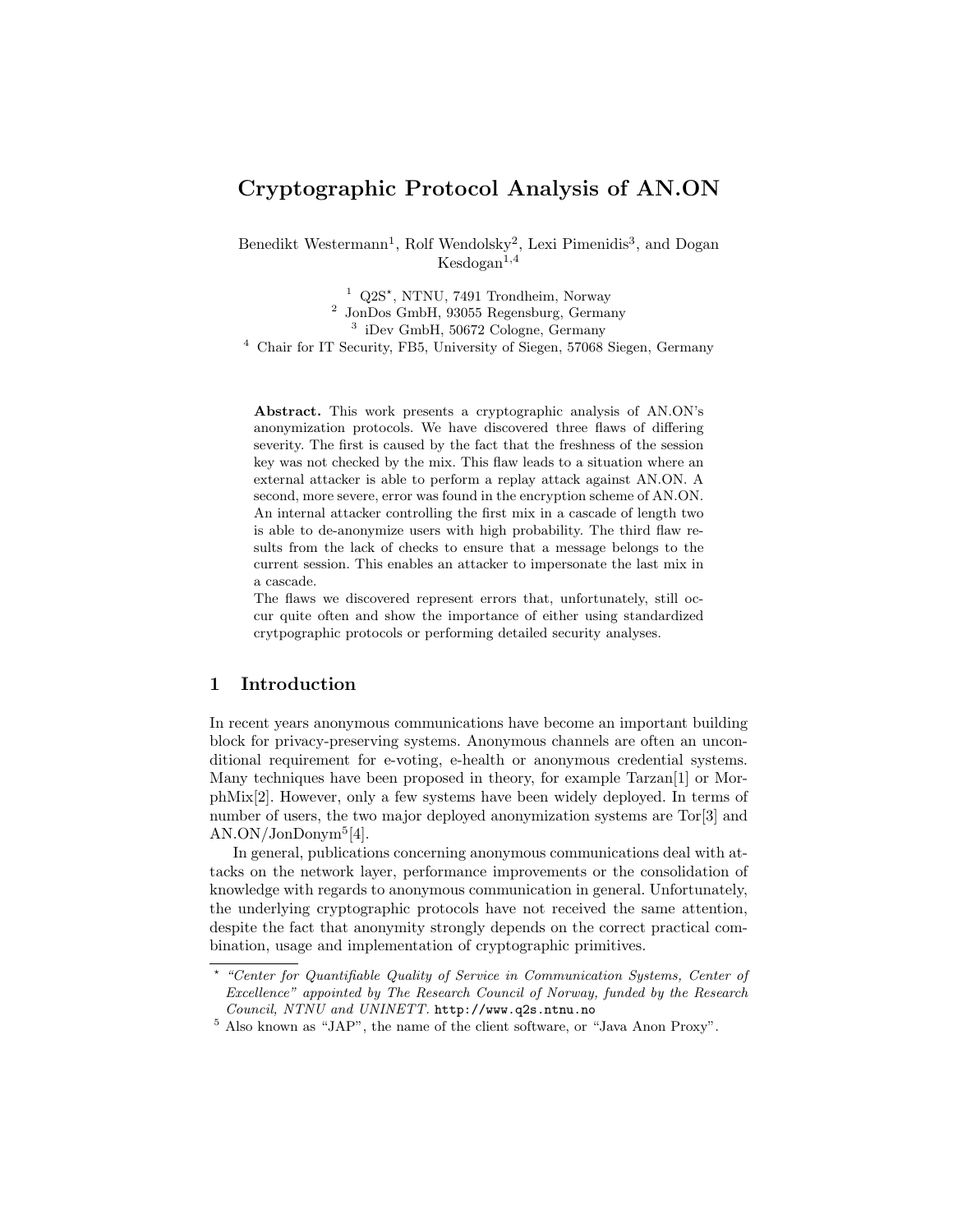# Cryptographic Protocol Analysis of AN.ON

Benedikt Westermann<sup>1</sup>, Rolf Wendolsky<sup>2</sup>, Lexi Pimenidis<sup>3</sup>, and Dogan  $Kesdoean<sup>1,4</sup>$ 

<sup>1</sup> Q2S<sup>\*</sup>, NTNU, 7491 Trondheim, Norway JonDos GmbH, 93055 Regensburg, Germany iDev GmbH, 50672 Cologne, Germany Chair for IT Security, FB5, University of Siegen, 57068 Siegen, Germany

Abstract. This work presents a cryptographic analysis of AN.ON's anonymization protocols. We have discovered three flaws of differing severity. The first is caused by the fact that the freshness of the session key was not checked by the mix. This flaw leads to a situation where an external attacker is able to perform a replay attack against AN.ON. A second, more severe, error was found in the encryption scheme of AN.ON. An internal attacker controlling the first mix in a cascade of length two is able to de-anonymize users with high probability. The third flaw results from the lack of checks to ensure that a message belongs to the current session. This enables an attacker to impersonate the last mix in a cascade.

The flaws we discovered represent errors that, unfortunately, still occur quite often and show the importance of either using standardized crytpographic protocols or performing detailed security analyses.

# 1 Introduction

In recent years anonymous communications have become an important building block for privacy-preserving systems. Anonymous channels are often an unconditional requirement for e-voting, e-health or anonymous credential systems. Many techniques have been proposed in theory, for example Tarzan[1] or MorphMix[2]. However, only a few systems have been widely deployed. In terms of number of users, the two major deployed anonymization systems are Tor[3] and AN.ON/JonDonym<sup>5</sup> [4].

In general, publications concerning anonymous communications deal with attacks on the network layer, performance improvements or the consolidation of knowledge with regards to anonymous communication in general. Unfortunately, the underlying cryptographic protocols have not received the same attention, despite the fact that anonymity strongly depends on the correct practical combination, usage and implementation of cryptographic primitives.

<sup>\* &</sup>quot;Center for Quantifiable Quality of Service in Communication Systems, Center of Excellence" appointed by The Research Council of Norway, funded by the Research Council, NTNU and UNINETT. http://www.q2s.ntnu.no

<sup>&</sup>lt;sup>5</sup> Also known as "JAP", the name of the client software, or "Java Anon Proxy".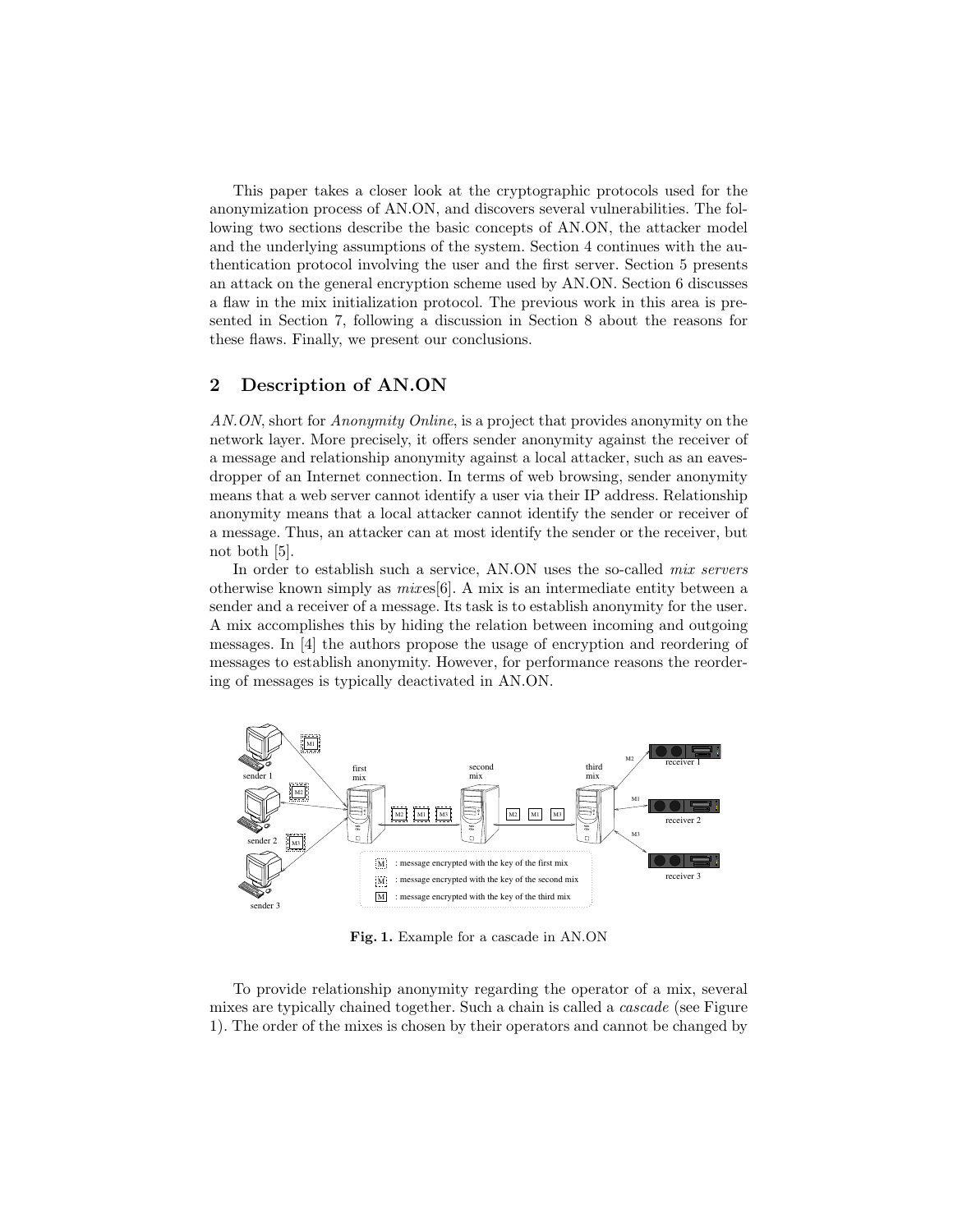This paper takes a closer look at the cryptographic protocols used for the anonymization process of AN.ON, and discovers several vulnerabilities. The following two sections describe the basic concepts of AN.ON, the attacker model and the underlying assumptions of the system. Section 4 continues with the authentication protocol involving the user and the first server. Section 5 presents an attack on the general encryption scheme used by AN.ON. Section 6 discusses a flaw in the mix initialization protocol. The previous work in this area is presented in Section 7, following a discussion in Section 8 about the reasons for these flaws. Finally, we present our conclusions.

## 2 Description of AN.ON

AN.ON, short for *Anonymity Online*, is a project that provides anonymity on the network layer. More precisely, it offers sender anonymity against the receiver of a message and relationship anonymity against a local attacker, such as an eavesdropper of an Internet connection. In terms of web browsing, sender anonymity means that a web server cannot identify a user via their IP address. Relationship anonymity means that a local attacker cannot identify the sender or receiver of a message. Thus, an attacker can at most identify the sender or the receiver, but not both [5].

In order to establish such a service, AN.ON uses the so-called *mix servers* otherwise known simply as  $mix \in [6]$ . A mix is an intermediate entity between a sender and a receiver of a message. Its task is to establish anonymity for the user. A mix accomplishes this by hiding the relation between incoming and outgoing messages. In [4] the authors propose the usage of encryption and reordering of messages to establish anonymity. However, for performance reasons the reordering of messages is typically deactivated in AN.ON.



Fig. 1. Example for a cascade in AN.ON

To provide relationship anonymity regarding the operator of a mix, several mixes are typically chained together. Such a chain is called a cascade (see Figure 1). The order of the mixes is chosen by their operators and cannot be changed by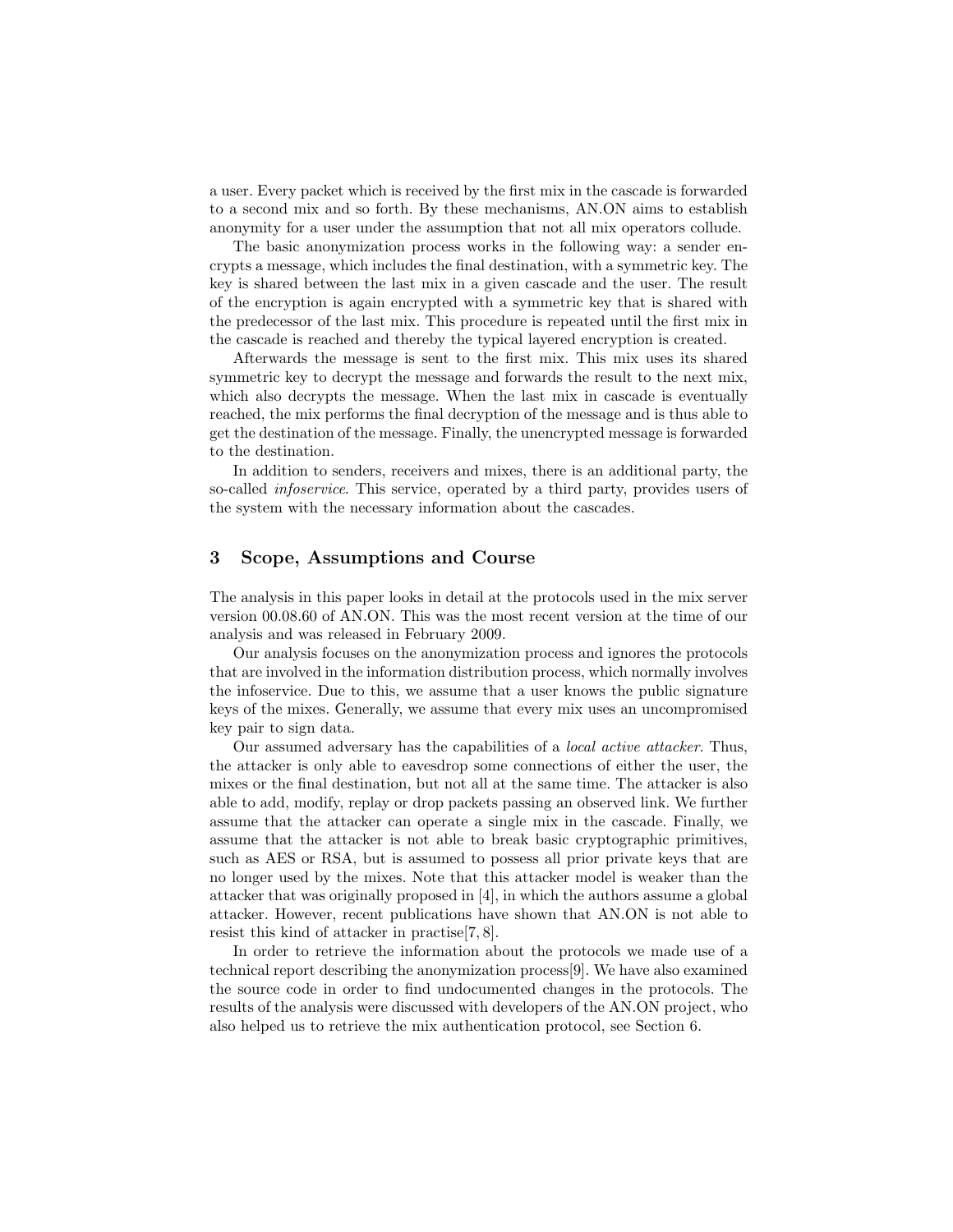a user. Every packet which is received by the first mix in the cascade is forwarded to a second mix and so forth. By these mechanisms, AN.ON aims to establish anonymity for a user under the assumption that not all mix operators collude.

The basic anonymization process works in the following way: a sender encrypts a message, which includes the final destination, with a symmetric key. The key is shared between the last mix in a given cascade and the user. The result of the encryption is again encrypted with a symmetric key that is shared with the predecessor of the last mix. This procedure is repeated until the first mix in the cascade is reached and thereby the typical layered encryption is created.

Afterwards the message is sent to the first mix. This mix uses its shared symmetric key to decrypt the message and forwards the result to the next mix, which also decrypts the message. When the last mix in cascade is eventually reached, the mix performs the final decryption of the message and is thus able to get the destination of the message. Finally, the unencrypted message is forwarded to the destination.

In addition to senders, receivers and mixes, there is an additional party, the so-called infoservice. This service, operated by a third party, provides users of the system with the necessary information about the cascades.

### 3 Scope, Assumptions and Course

The analysis in this paper looks in detail at the protocols used in the mix server version 00.08.60 of AN.ON. This was the most recent version at the time of our analysis and was released in February 2009.

Our analysis focuses on the anonymization process and ignores the protocols that are involved in the information distribution process, which normally involves the infoservice. Due to this, we assume that a user knows the public signature keys of the mixes. Generally, we assume that every mix uses an uncompromised key pair to sign data.

Our assumed adversary has the capabilities of a local active attacker. Thus, the attacker is only able to eavesdrop some connections of either the user, the mixes or the final destination, but not all at the same time. The attacker is also able to add, modify, replay or drop packets passing an observed link. We further assume that the attacker can operate a single mix in the cascade. Finally, we assume that the attacker is not able to break basic cryptographic primitives, such as AES or RSA, but is assumed to possess all prior private keys that are no longer used by the mixes. Note that this attacker model is weaker than the attacker that was originally proposed in [4], in which the authors assume a global attacker. However, recent publications have shown that AN.ON is not able to resist this kind of attacker in practise[7, 8].

In order to retrieve the information about the protocols we made use of a technical report describing the anonymization process[9]. We have also examined the source code in order to find undocumented changes in the protocols. The results of the analysis were discussed with developers of the AN.ON project, who also helped us to retrieve the mix authentication protocol, see Section 6.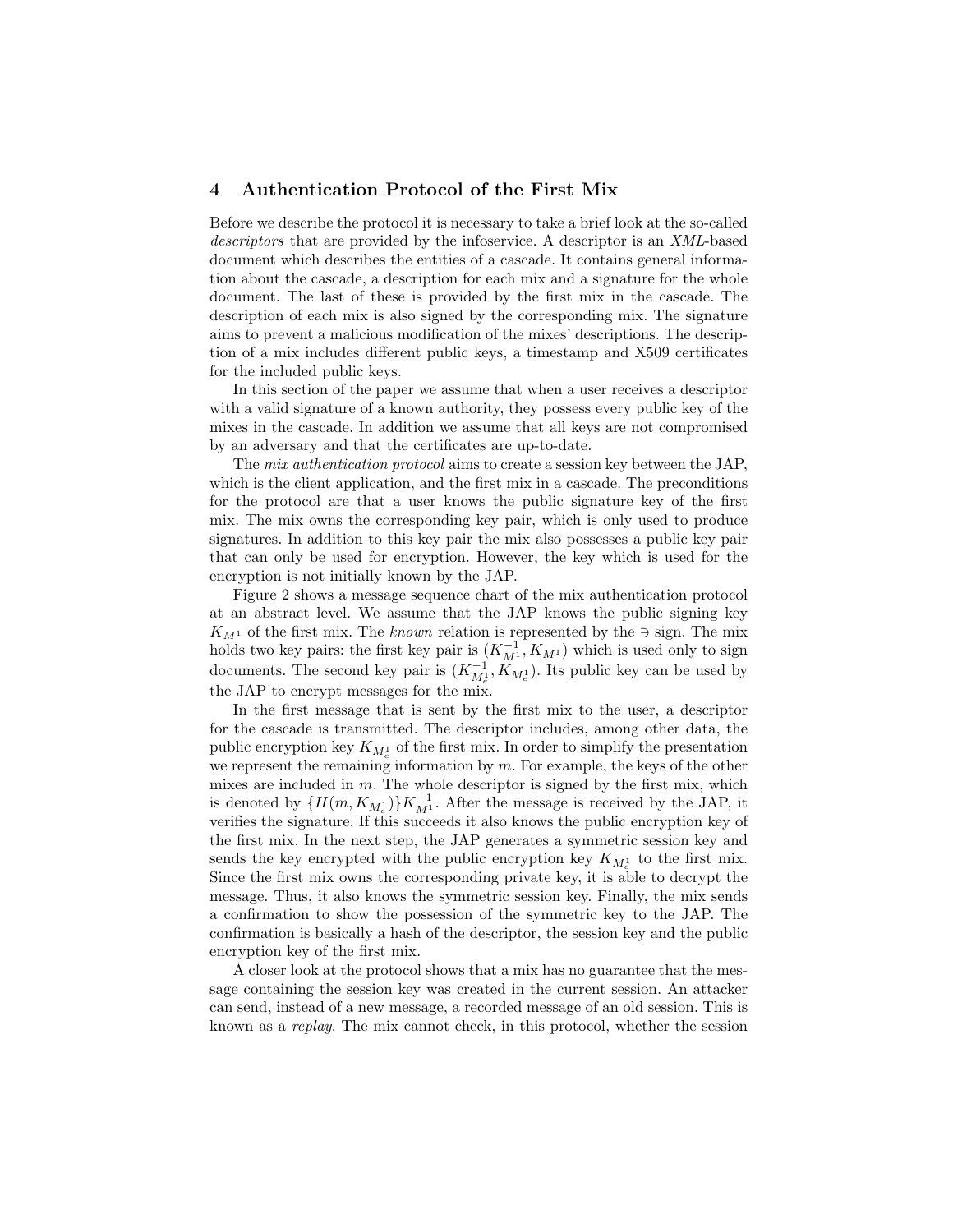## 4 Authentication Protocol of the First Mix

Before we describe the protocol it is necessary to take a brief look at the so-called descriptors that are provided by the infoservice. A descriptor is an XML-based document which describes the entities of a cascade. It contains general information about the cascade, a description for each mix and a signature for the whole document. The last of these is provided by the first mix in the cascade. The description of each mix is also signed by the corresponding mix. The signature aims to prevent a malicious modification of the mixes' descriptions. The description of a mix includes different public keys, a timestamp and X509 certificates for the included public keys.

In this section of the paper we assume that when a user receives a descriptor with a valid signature of a known authority, they possess every public key of the mixes in the cascade. In addition we assume that all keys are not compromised by an adversary and that the certificates are up-to-date.

The mix authentication protocol aims to create a session key between the JAP, which is the client application, and the first mix in a cascade. The preconditions for the protocol are that a user knows the public signature key of the first mix. The mix owns the corresponding key pair, which is only used to produce signatures. In addition to this key pair the mix also possesses a public key pair that can only be used for encryption. However, the key which is used for the encryption is not initially known by the JAP.

Figure 2 shows a message sequence chart of the mix authentication protocol at an abstract level. We assume that the JAP knows the public signing key  $K_{M^1}$  of the first mix. The known relation is represented by the  $\Rightarrow$  sign. The mix holds two key pairs: the first key pair is  $(K_{M^1}^{-1}, K_{M^1})$  which is used only to sign documents. The second key pair is  $(K_{M_e^1}^{-1}, K_{M_e^1})$ . Its public key can be used by the JAP to encrypt messages for the mix.

In the first message that is sent by the first mix to the user, a descriptor for the cascade is transmitted. The descriptor includes, among other data, the public encryption key  $K_{M^1_e}$  of the first mix. In order to simplify the presentation we represent the remaining information by  $m$ . For example, the keys of the other mixes are included in  $m$ . The whole descriptor is signed by the first mix, which is denoted by  $\{H(m, K_{M^1_e})\} K_{M^1}^{-1}$ . After the message is received by the JAP, it verifies the signature. If this succeeds it also knows the public encryption key of the first mix. In the next step, the JAP generates a symmetric session key and sends the key encrypted with the public encryption key  $K_{M_e^1}$  to the first mix. Since the first mix owns the corresponding private key, it is able to decrypt the message. Thus, it also knows the symmetric session key. Finally, the mix sends a confirmation to show the possession of the symmetric key to the JAP. The confirmation is basically a hash of the descriptor, the session key and the public encryption key of the first mix.

A closer look at the protocol shows that a mix has no guarantee that the message containing the session key was created in the current session. An attacker can send, instead of a new message, a recorded message of an old session. This is known as a replay. The mix cannot check, in this protocol, whether the session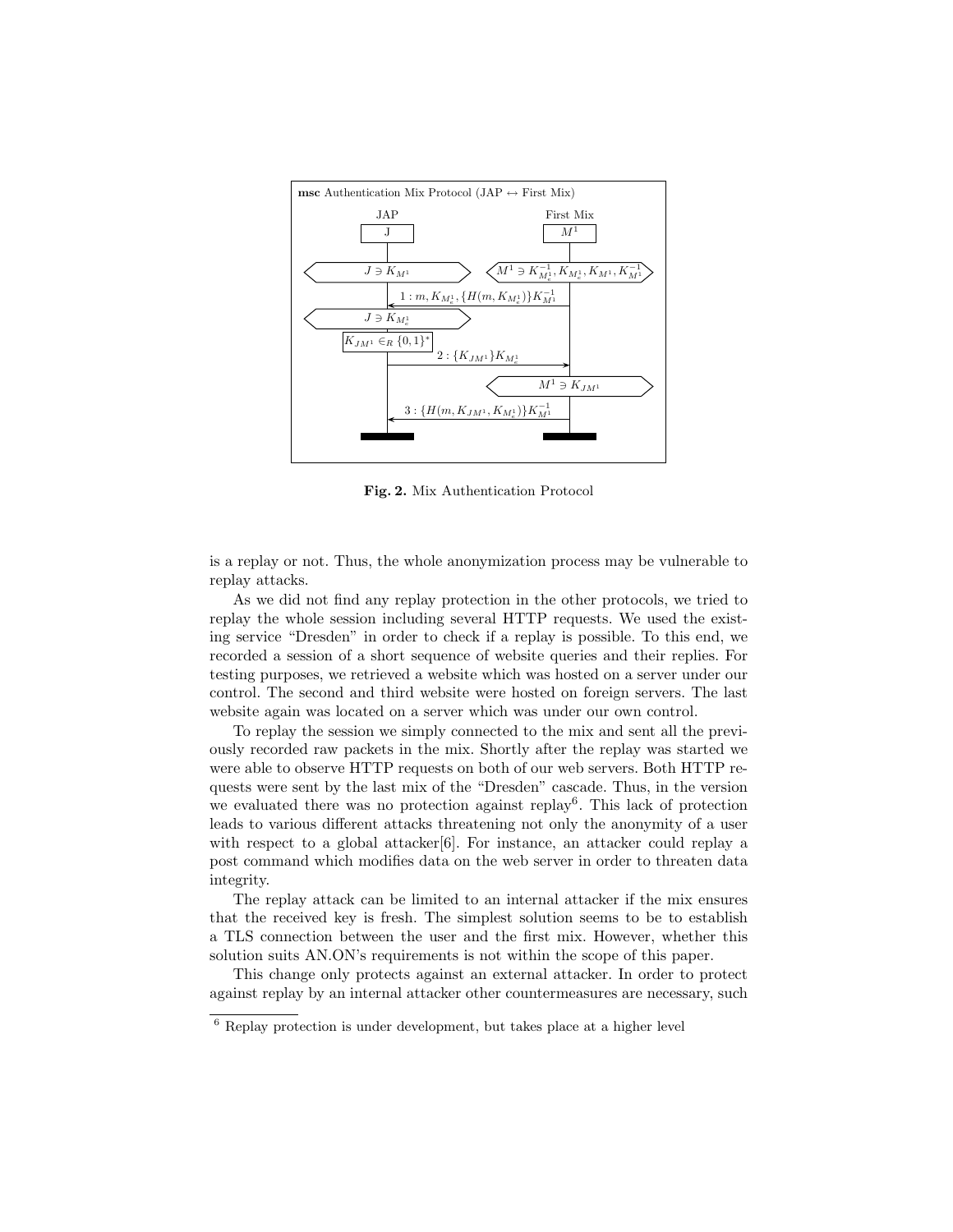

Fig. 2. Mix Authentication Protocol

is a replay or not. Thus, the whole anonymization process may be vulnerable to replay attacks.

As we did not find any replay protection in the other protocols, we tried to replay the whole session including several HTTP requests. We used the existing service "Dresden" in order to check if a replay is possible. To this end, we recorded a session of a short sequence of website queries and their replies. For testing purposes, we retrieved a website which was hosted on a server under our control. The second and third website were hosted on foreign servers. The last website again was located on a server which was under our own control.

To replay the session we simply connected to the mix and sent all the previously recorded raw packets in the mix. Shortly after the replay was started we were able to observe HTTP requests on both of our web servers. Both HTTP requests were sent by the last mix of the "Dresden" cascade. Thus, in the version we evaluated there was no protection against replay<sup>6</sup>. This lack of protection leads to various different attacks threatening not only the anonymity of a user with respect to a global attacker $[6]$ . For instance, an attacker could replay a post command which modifies data on the web server in order to threaten data integrity.

The replay attack can be limited to an internal attacker if the mix ensures that the received key is fresh. The simplest solution seems to be to establish a TLS connection between the user and the first mix. However, whether this solution suits AN.ON's requirements is not within the scope of this paper.

This change only protects against an external attacker. In order to protect against replay by an internal attacker other countermeasures are necessary, such

<sup>6</sup> Replay protection is under development, but takes place at a higher level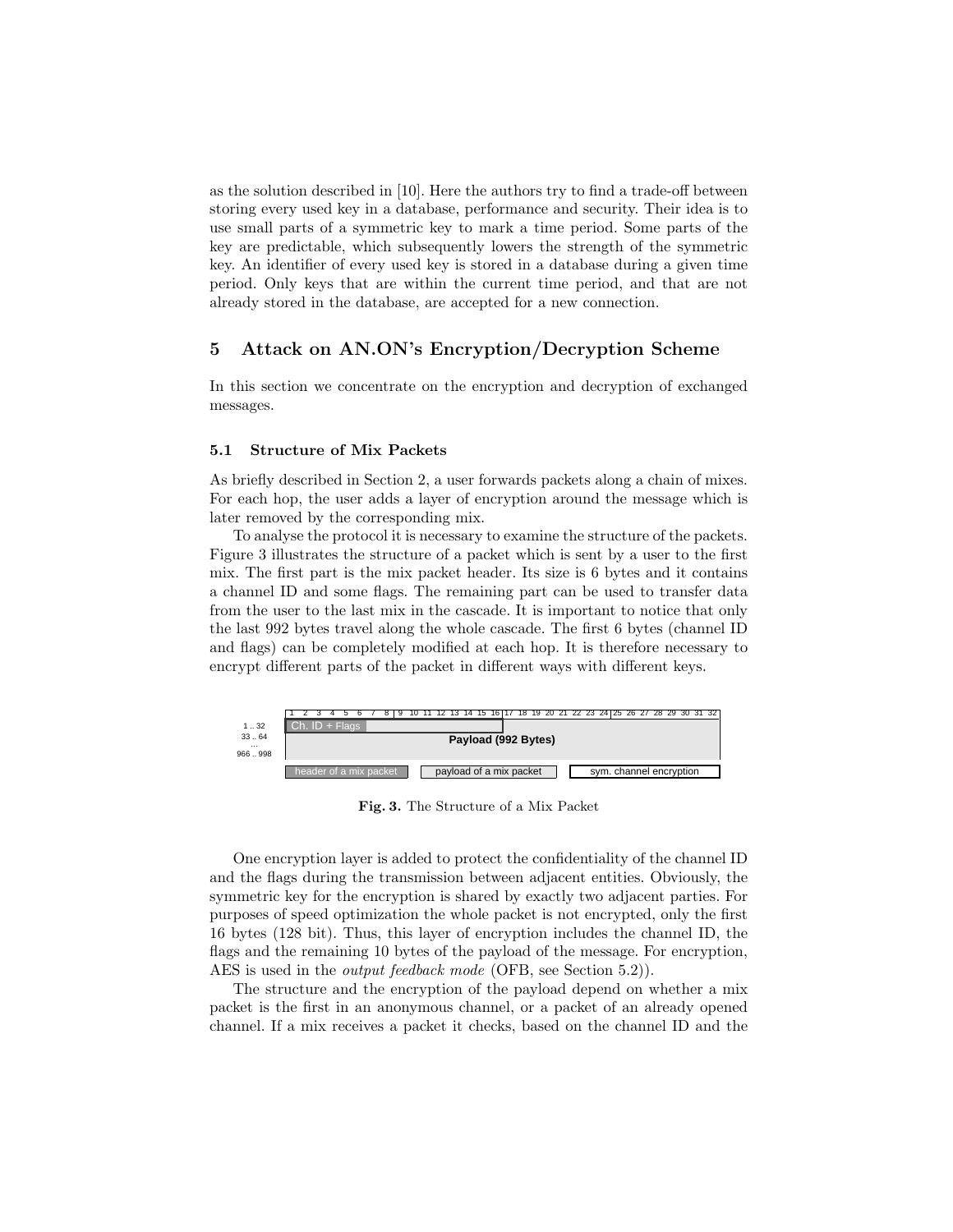as the solution described in [10]. Here the authors try to find a trade-off between storing every used key in a database, performance and security. Their idea is to use small parts of a symmetric key to mark a time period. Some parts of the key are predictable, which subsequently lowers the strength of the symmetric key. An identifier of every used key is stored in a database during a given time period. Only keys that are within the current time period, and that are not already stored in the database, are accepted for a new connection.

# 5 Attack on AN.ON's Encryption/Decryption Scheme

In this section we concentrate on the encryption and decryption of exchanged messages.

#### 5.1 Structure of Mix Packets

As briefly described in Section 2, a user forwards packets along a chain of mixes. For each hop, the user adds a layer of encryption around the message which is later removed by the corresponding mix.

To analyse the protocol it is necessary to examine the structure of the packets. Figure 3 illustrates the structure of a packet which is sent by a user to the first mix. The first part is the mix packet header. Its size is 6 bytes and it contains a channel ID and some flags. The remaining part can be used to transfer data from the user to the last mix in the cascade. It is important to notice that only the last 992 bytes travel along the whole cascade. The first 6 bytes (channel ID and flags) can be completely modified at each hop. It is therefore necessary to encrypt different parts of the packet in different ways with different keys.



Fig. 3. The Structure of a Mix Packet

One encryption layer is added to protect the confidentiality of the channel ID and the flags during the transmission between adjacent entities. Obviously, the symmetric key for the encryption is shared by exactly two adjacent parties. For purposes of speed optimization the whole packet is not encrypted, only the first 16 bytes (128 bit). Thus, this layer of encryption includes the channel ID, the flags and the remaining 10 bytes of the payload of the message. For encryption, AES is used in the output feedback mode (OFB, see Section 5.2)).

The structure and the encryption of the payload depend on whether a mix packet is the first in an anonymous channel, or a packet of an already opened channel. If a mix receives a packet it checks, based on the channel ID and the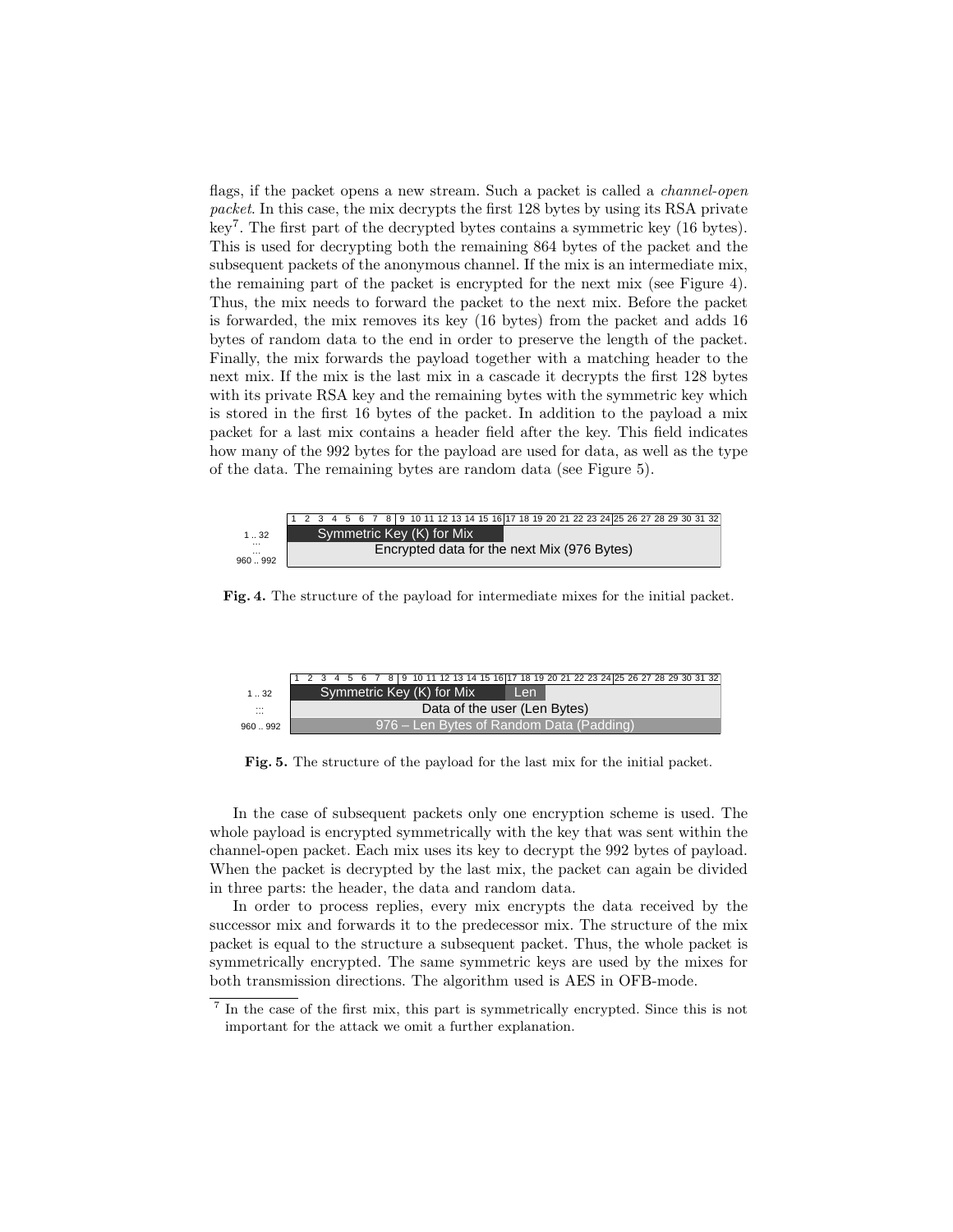flags, if the packet opens a new stream. Such a packet is called a channel-open packet. In this case, the mix decrypts the first 128 bytes by using its RSA private key<sup>7</sup> . The first part of the decrypted bytes contains a symmetric key (16 bytes). This is used for decrypting both the remaining 864 bytes of the packet and the subsequent packets of the anonymous channel. If the mix is an intermediate mix, the remaining part of the packet is encrypted for the next mix (see Figure 4). Thus, the mix needs to forward the packet to the next mix. Before the packet is forwarded, the mix removes its key (16 bytes) from the packet and adds 16 bytes of random data to the end in order to preserve the length of the packet. Finally, the mix forwards the payload together with a matching header to the next mix. If the mix is the last mix in a cascade it decrypts the first 128 bytes with its private RSA key and the remaining bytes with the symmetric key which is stored in the first 16 bytes of the packet. In addition to the payload a mix packet for a last mix contains a header field after the key. This field indicates how many of the 992 bytes for the payload are used for data, as well as the type of the data. The remaining bytes are random data (see Figure 5).



Fig. 4. The structure of the payload for intermediate mixes for the initial packet.



Fig. 5. The structure of the payload for the last mix for the initial packet.

In the case of subsequent packets only one encryption scheme is used. The whole payload is encrypted symmetrically with the key that was sent within the channel-open packet. Each mix uses its key to decrypt the 992 bytes of payload. When the packet is decrypted by the last mix, the packet can again be divided in three parts: the header, the data and random data.

In order to process replies, every mix encrypts the data received by the successor mix and forwards it to the predecessor mix. The structure of the mix packet is equal to the structure a subsequent packet. Thus, the whole packet is symmetrically encrypted. The same symmetric keys are used by the mixes for both transmission directions. The algorithm used is AES in OFB-mode.

<sup>&</sup>lt;sup>7</sup> In the case of the first mix, this part is symmetrically encrypted. Since this is not important for the attack we omit a further explanation.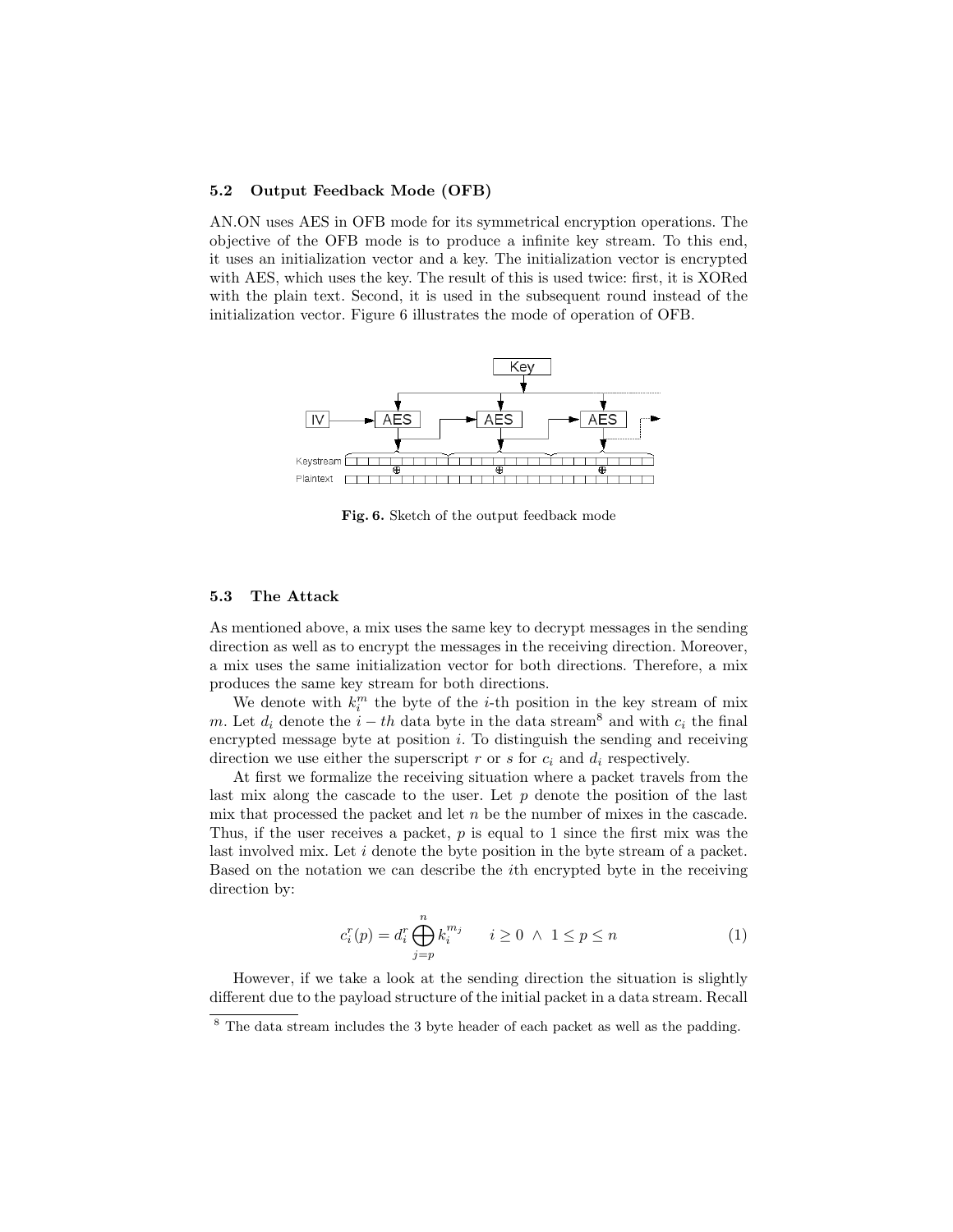#### 5.2 Output Feedback Mode (OFB)

AN.ON uses AES in OFB mode for its symmetrical encryption operations. The objective of the OFB mode is to produce a infinite key stream. To this end, it uses an initialization vector and a key. The initialization vector is encrypted with AES, which uses the key. The result of this is used twice: first, it is XORed with the plain text. Second, it is used in the subsequent round instead of the initialization vector. Figure 6 illustrates the mode of operation of OFB.



Fig. 6. Sketch of the output feedback mode

#### 5.3 The Attack

As mentioned above, a mix uses the same key to decrypt messages in the sending direction as well as to encrypt the messages in the receiving direction. Moreover, a mix uses the same initialization vector for both directions. Therefore, a mix produces the same key stream for both directions.

We denote with  $k_i^m$  the byte of the *i*-th position in the key stream of mix m. Let  $d_i$  denote the  $i - th$  data byte in the data stream<sup>8</sup> and with  $c_i$  the final encrypted message byte at position  $i$ . To distinguish the sending and receiving direction we use either the superscript r or s for  $c_i$  and  $d_i$  respectively.

At first we formalize the receiving situation where a packet travels from the last mix along the cascade to the user. Let  $p$  denote the position of the last mix that processed the packet and let  $n$  be the number of mixes in the cascade. Thus, if the user receives a packet,  $p$  is equal to 1 since the first mix was the last involved mix. Let i denote the byte position in the byte stream of a packet. Based on the notation we can describe the ith encrypted byte in the receiving direction by:

$$
c_i^r(p) = d_i^r \bigoplus_{j=p}^n k_i^{m_j} \qquad i \ge 0 \ \land \ 1 \le p \le n \tag{1}
$$

However, if we take a look at the sending direction the situation is slightly different due to the payload structure of the initial packet in a data stream. Recall

<sup>8</sup> The data stream includes the 3 byte header of each packet as well as the padding.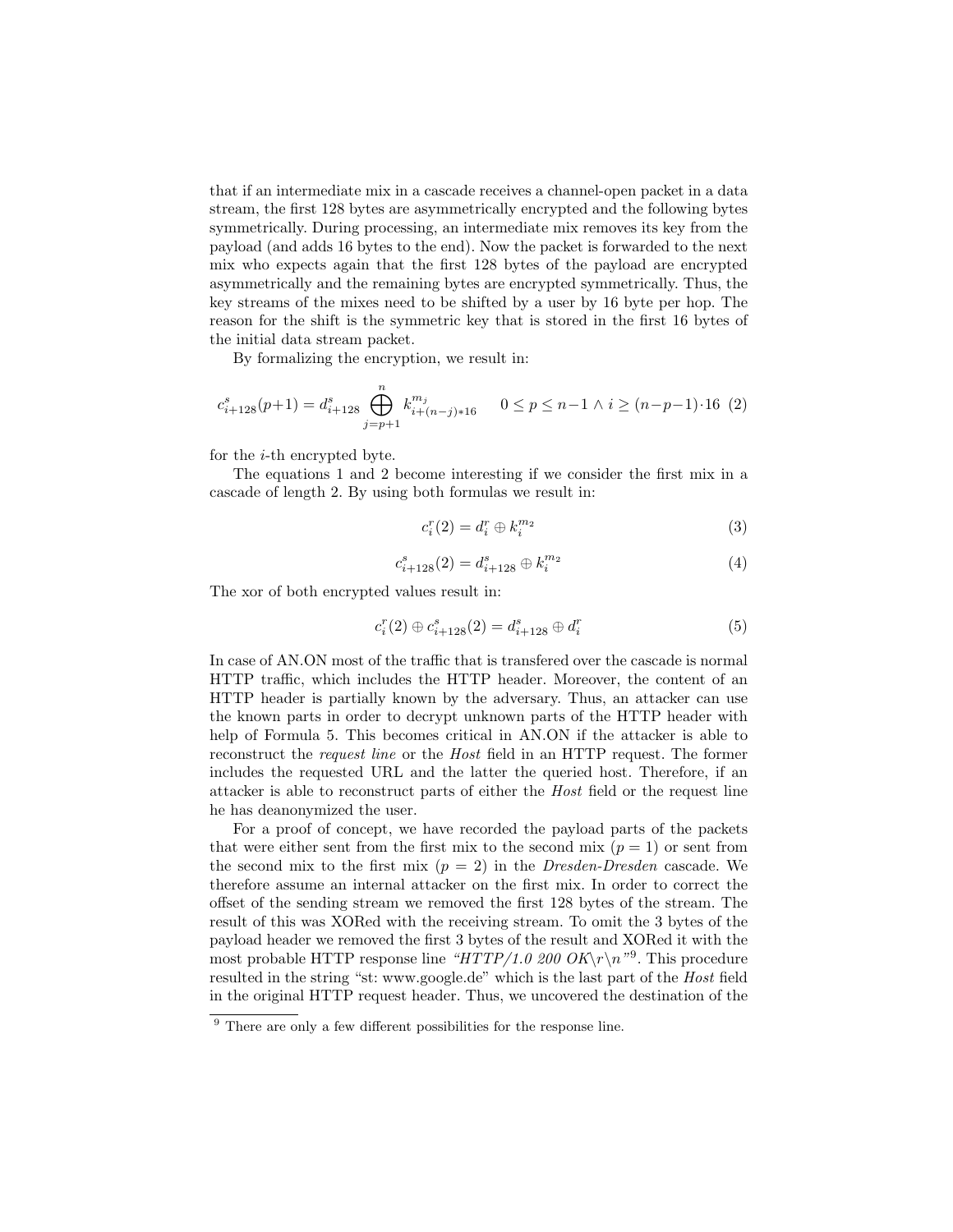that if an intermediate mix in a cascade receives a channel-open packet in a data stream, the first 128 bytes are asymmetrically encrypted and the following bytes symmetrically. During processing, an intermediate mix removes its key from the payload (and adds 16 bytes to the end). Now the packet is forwarded to the next mix who expects again that the first 128 bytes of the payload are encrypted asymmetrically and the remaining bytes are encrypted symmetrically. Thus, the key streams of the mixes need to be shifted by a user by 16 byte per hop. The reason for the shift is the symmetric key that is stored in the first 16 bytes of the initial data stream packet.

By formalizing the encryption, we result in:

$$
c_{i+128}^s(p+1) = d_{i+128}^s \bigoplus_{j=p+1}^n k_{i+(n-j)*16}^{m_j} \qquad 0 \le p \le n-1 \land i \ge (n-p-1) \cdot 16 \tag{2}
$$

for the i-th encrypted byte.

The equations 1 and 2 become interesting if we consider the first mix in a cascade of length 2. By using both formulas we result in:

$$
c_i^r(2) = d_i^r \oplus k_i^{m_2} \tag{3}
$$

$$
c_{i+128}^s(2) = d_{i+128}^s \oplus k_i^{m_2} \tag{4}
$$

The xor of both encrypted values result in:

$$
c_i^r(2) \oplus c_{i+128}^s(2) = d_{i+128}^s \oplus d_i^r
$$
 (5)

In case of AN.ON most of the traffic that is transfered over the cascade is normal HTTP traffic, which includes the HTTP header. Moreover, the content of an HTTP header is partially known by the adversary. Thus, an attacker can use the known parts in order to decrypt unknown parts of the HTTP header with help of Formula 5. This becomes critical in AN.ON if the attacker is able to reconstruct the request line or the Host field in an HTTP request. The former includes the requested URL and the latter the queried host. Therefore, if an attacker is able to reconstruct parts of either the Host field or the request line he has deanonymized the user.

For a proof of concept, we have recorded the payload parts of the packets that were either sent from the first mix to the second mix  $(p = 1)$  or sent from the second mix to the first mix  $(p = 2)$  in the *Dresden-Dresden* cascade. We therefore assume an internal attacker on the first mix. In order to correct the offset of the sending stream we removed the first 128 bytes of the stream. The result of this was XORed with the receiving stream. To omit the 3 bytes of the payload header we removed the first 3 bytes of the result and XORed it with the most probable HTTP response line "HTTP/1.0 200 OK\r\n<sup>"9</sup>. This procedure resulted in the string "st: www.google.de" which is the last part of the Host field in the original HTTP request header. Thus, we uncovered the destination of the

<sup>&</sup>lt;sup>9</sup> There are only a few different possibilities for the response line.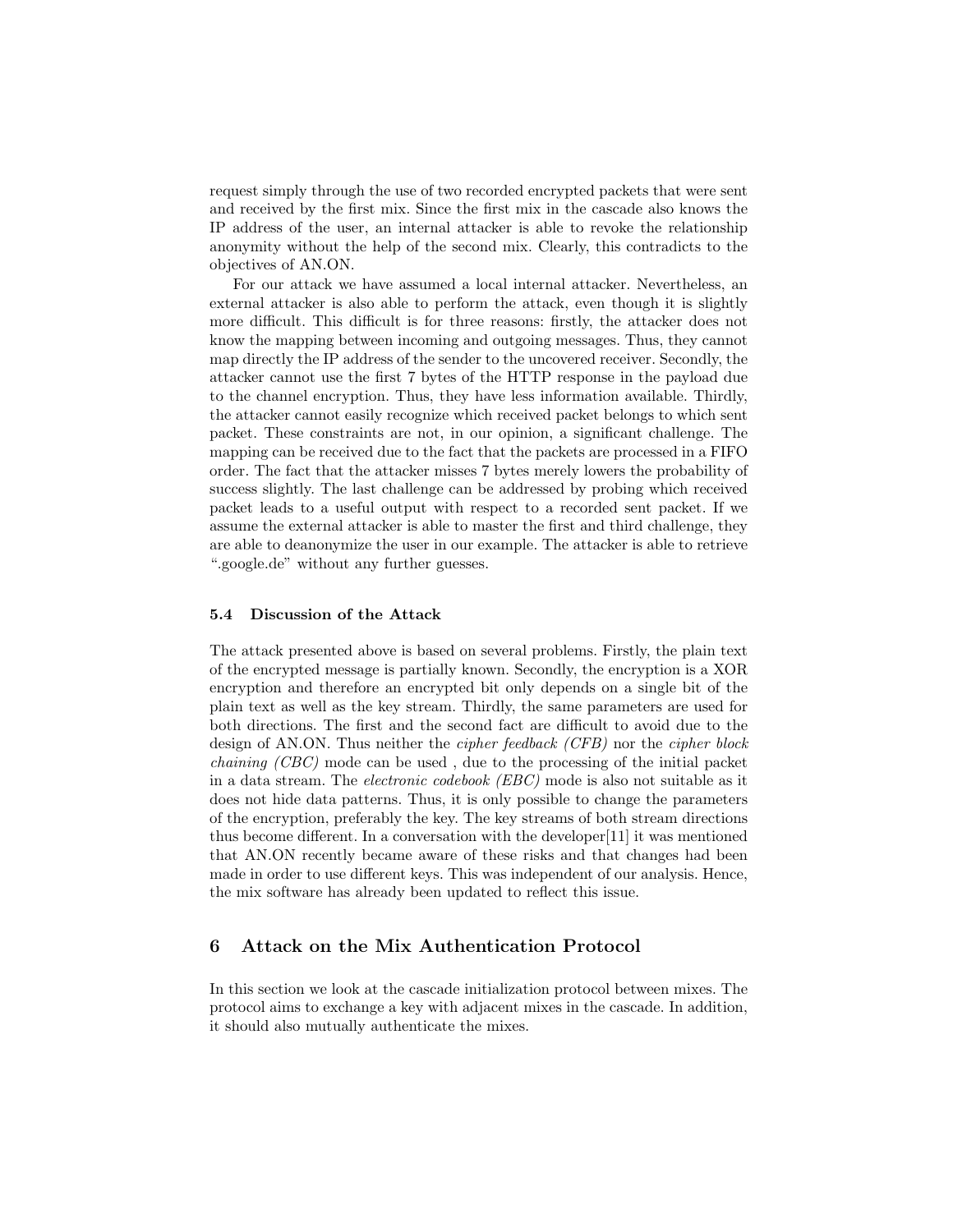request simply through the use of two recorded encrypted packets that were sent and received by the first mix. Since the first mix in the cascade also knows the IP address of the user, an internal attacker is able to revoke the relationship anonymity without the help of the second mix. Clearly, this contradicts to the objectives of AN.ON.

For our attack we have assumed a local internal attacker. Nevertheless, an external attacker is also able to perform the attack, even though it is slightly more difficult. This difficult is for three reasons: firstly, the attacker does not know the mapping between incoming and outgoing messages. Thus, they cannot map directly the IP address of the sender to the uncovered receiver. Secondly, the attacker cannot use the first 7 bytes of the HTTP response in the payload due to the channel encryption. Thus, they have less information available. Thirdly, the attacker cannot easily recognize which received packet belongs to which sent packet. These constraints are not, in our opinion, a significant challenge. The mapping can be received due to the fact that the packets are processed in a FIFO order. The fact that the attacker misses 7 bytes merely lowers the probability of success slightly. The last challenge can be addressed by probing which received packet leads to a useful output with respect to a recorded sent packet. If we assume the external attacker is able to master the first and third challenge, they are able to deanonymize the user in our example. The attacker is able to retrieve ".google.de" without any further guesses.

#### 5.4 Discussion of the Attack

The attack presented above is based on several problems. Firstly, the plain text of the encrypted message is partially known. Secondly, the encryption is a XOR encryption and therefore an encrypted bit only depends on a single bit of the plain text as well as the key stream. Thirdly, the same parameters are used for both directions. The first and the second fact are difficult to avoid due to the design of AN.ON. Thus neither the *cipher feedback (CFB)* nor the *cipher block* chaining (CBC) mode can be used , due to the processing of the initial packet in a data stream. The electronic codebook (EBC) mode is also not suitable as it does not hide data patterns. Thus, it is only possible to change the parameters of the encryption, preferably the key. The key streams of both stream directions thus become different. In a conversation with the developer[11] it was mentioned that AN.ON recently became aware of these risks and that changes had been made in order to use different keys. This was independent of our analysis. Hence, the mix software has already been updated to reflect this issue.

### 6 Attack on the Mix Authentication Protocol

In this section we look at the cascade initialization protocol between mixes. The protocol aims to exchange a key with adjacent mixes in the cascade. In addition, it should also mutually authenticate the mixes.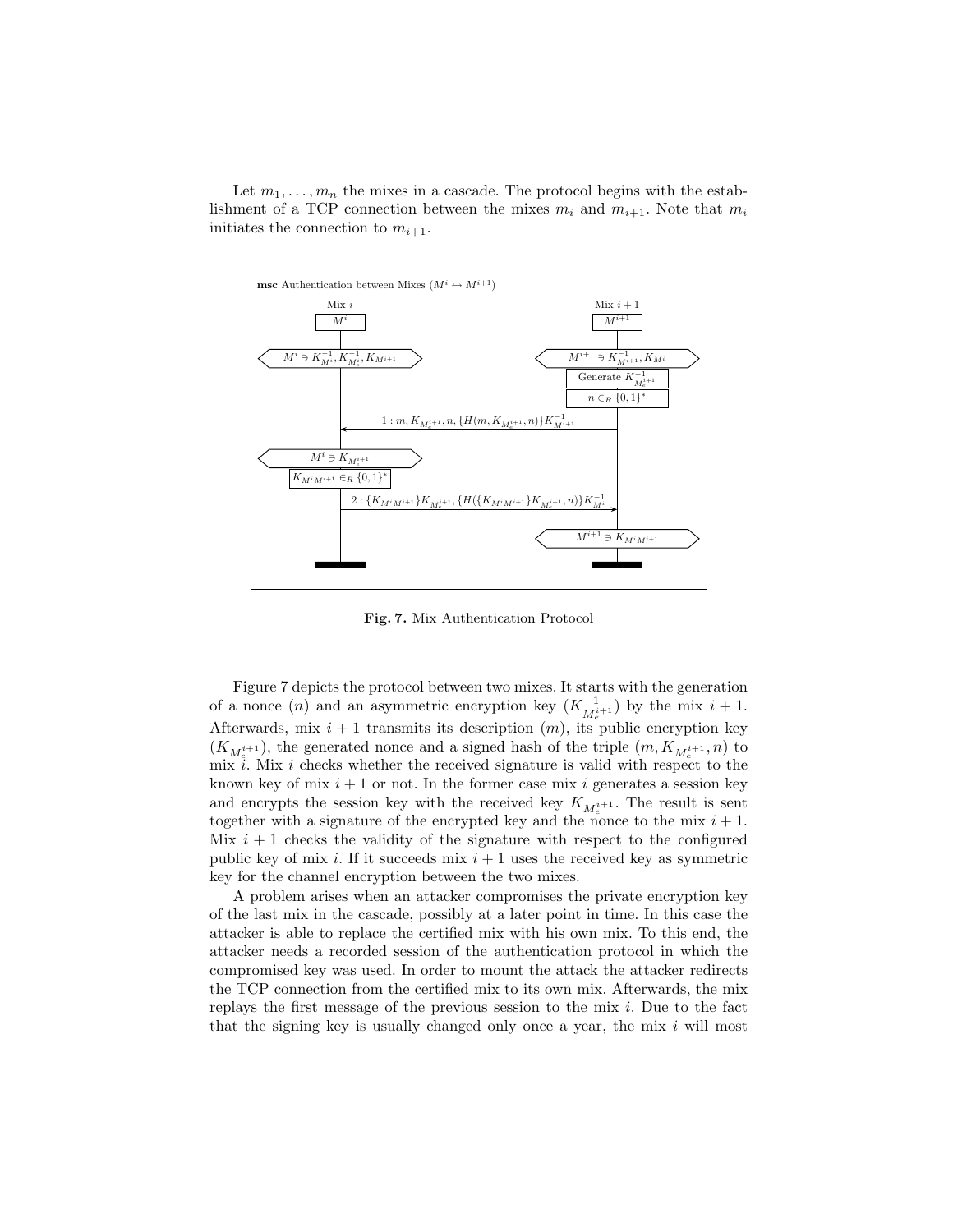Let  $m_1, \ldots, m_n$  the mixes in a cascade. The protocol begins with the establishment of a TCP connection between the mixes  $m_i$  and  $m_{i+1}$ . Note that  $m_i$ initiates the connection to  $m_{i+1}$ .



Fig. 7. Mix Authentication Protocol

Figure 7 depicts the protocol between two mixes. It starts with the generation of a nonce  $(n)$  and an asymmetric encryption key  $(K_{M_e^{i+1}}^{-1})$  by the mix  $i + 1$ . Afterwards, mix  $i + 1$  transmits its description  $(m)$ , its public encryption key  $(K_{M_e^{i+1}})$ , the generated nonce and a signed hash of the triple  $(m, K_{M_e^{i+1}}, n)$  to  $m_e$   $m_e$ . Mix *i* checks whether the received signature is valid with respect to the known key of mix  $i + 1$  or not. In the former case mix i generates a session key and encrypts the session key with the received key  $K_{M_{e}^{i+1}}$ . The result is sent together with a signature of the encrypted key and the nonce to the mix  $i + 1$ . Mix  $i + 1$  checks the validity of the signature with respect to the configured public key of mix i. If it succeeds mix  $i + 1$  uses the received key as symmetric key for the channel encryption between the two mixes.

A problem arises when an attacker compromises the private encryption key of the last mix in the cascade, possibly at a later point in time. In this case the attacker is able to replace the certified mix with his own mix. To this end, the attacker needs a recorded session of the authentication protocol in which the compromised key was used. In order to mount the attack the attacker redirects the TCP connection from the certified mix to its own mix. Afterwards, the mix replays the first message of the previous session to the mix  $i$ . Due to the fact that the signing key is usually changed only once a year, the mix  $i$  will most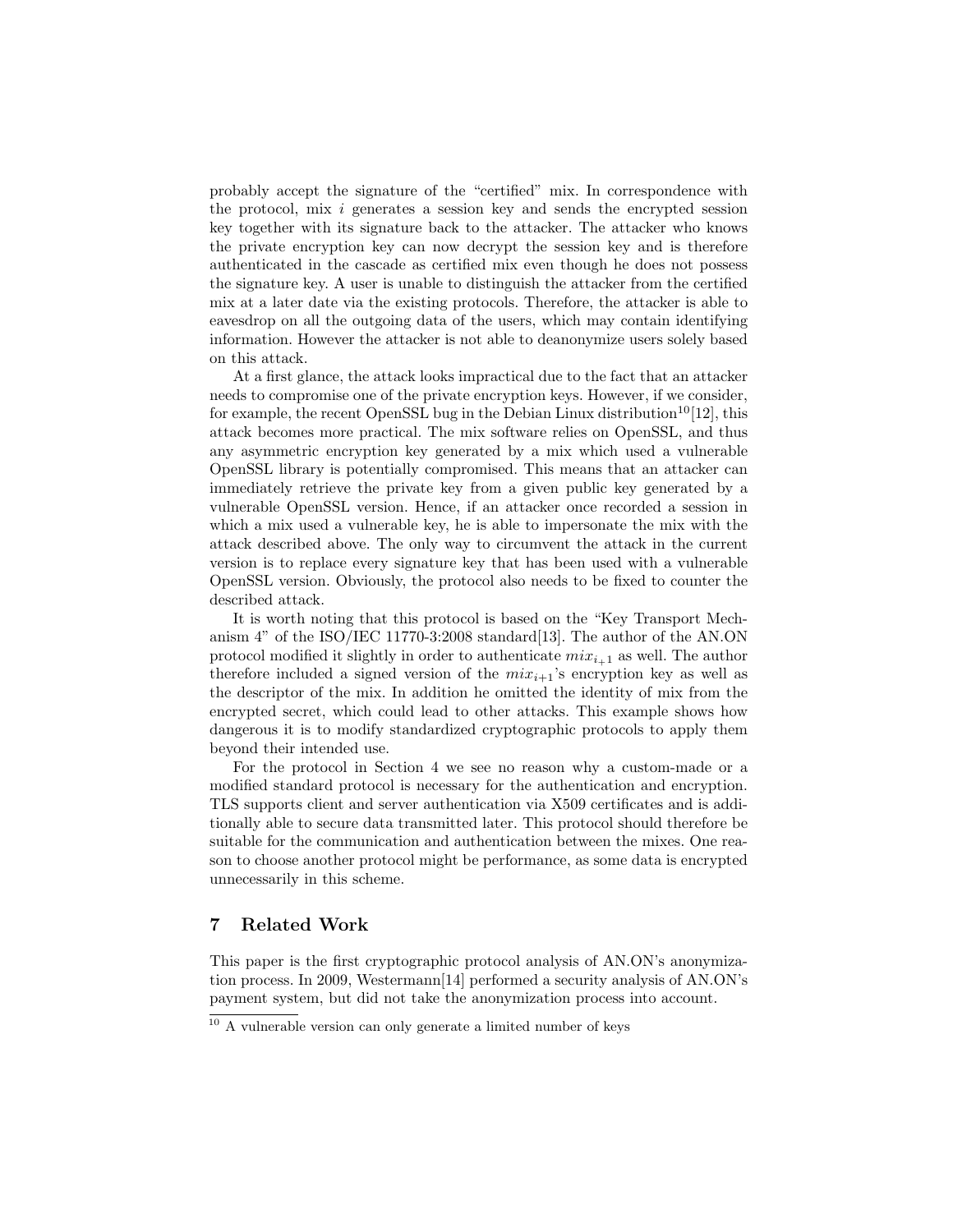probably accept the signature of the "certified" mix. In correspondence with the protocol, mix i generates a session key and sends the encrypted session key together with its signature back to the attacker. The attacker who knows the private encryption key can now decrypt the session key and is therefore authenticated in the cascade as certified mix even though he does not possess the signature key. A user is unable to distinguish the attacker from the certified mix at a later date via the existing protocols. Therefore, the attacker is able to eavesdrop on all the outgoing data of the users, which may contain identifying information. However the attacker is not able to deanonymize users solely based on this attack.

At a first glance, the attack looks impractical due to the fact that an attacker needs to compromise one of the private encryption keys. However, if we consider, for example, the recent OpenSSL bug in the Debian Linux distribution<sup>10</sup>[12], this attack becomes more practical. The mix software relies on OpenSSL, and thus any asymmetric encryption key generated by a mix which used a vulnerable OpenSSL library is potentially compromised. This means that an attacker can immediately retrieve the private key from a given public key generated by a vulnerable OpenSSL version. Hence, if an attacker once recorded a session in which a mix used a vulnerable key, he is able to impersonate the mix with the attack described above. The only way to circumvent the attack in the current version is to replace every signature key that has been used with a vulnerable OpenSSL version. Obviously, the protocol also needs to be fixed to counter the described attack.

It is worth noting that this protocol is based on the "Key Transport Mechanism 4" of the ISO/IEC 11770-3:2008 standard[13]. The author of the AN.ON protocol modified it slightly in order to authenticate  $mix_{i+1}$  as well. The author therefore included a signed version of the  $mix_{i+1}$ 's encryption key as well as the descriptor of the mix. In addition he omitted the identity of mix from the encrypted secret, which could lead to other attacks. This example shows how dangerous it is to modify standardized cryptographic protocols to apply them beyond their intended use.

For the protocol in Section 4 we see no reason why a custom-made or a modified standard protocol is necessary for the authentication and encryption. TLS supports client and server authentication via X509 certificates and is additionally able to secure data transmitted later. This protocol should therefore be suitable for the communication and authentication between the mixes. One reason to choose another protocol might be performance, as some data is encrypted unnecessarily in this scheme.

### 7 Related Work

This paper is the first cryptographic protocol analysis of AN.ON's anonymization process. In 2009, Westermann[14] performed a security analysis of AN.ON's payment system, but did not take the anonymization process into account.

 $\frac{10}{10}$  A vulnerable version can only generate a limited number of keys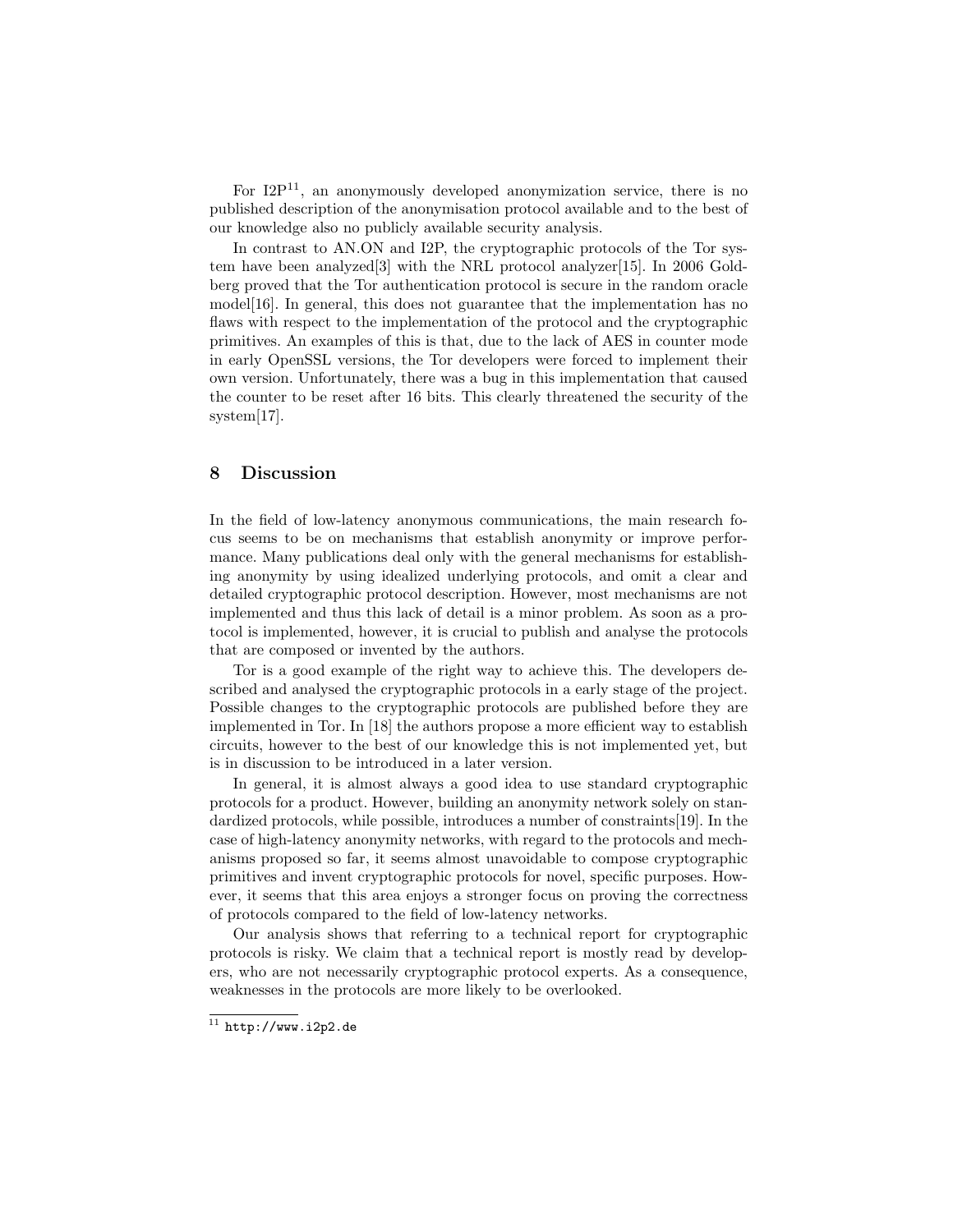For  $I2P<sup>11</sup>$ , an anonymously developed anonymization service, there is no published description of the anonymisation protocol available and to the best of our knowledge also no publicly available security analysis.

In contrast to AN.ON and I2P, the cryptographic protocols of the Tor system have been analyzed[3] with the NRL protocol analyzer[15]. In 2006 Goldberg proved that the Tor authentication protocol is secure in the random oracle model[16]. In general, this does not guarantee that the implementation has no flaws with respect to the implementation of the protocol and the cryptographic primitives. An examples of this is that, due to the lack of AES in counter mode in early OpenSSL versions, the Tor developers were forced to implement their own version. Unfortunately, there was a bug in this implementation that caused the counter to be reset after 16 bits. This clearly threatened the security of the system[17].

### 8 Discussion

In the field of low-latency anonymous communications, the main research focus seems to be on mechanisms that establish anonymity or improve performance. Many publications deal only with the general mechanisms for establishing anonymity by using idealized underlying protocols, and omit a clear and detailed cryptographic protocol description. However, most mechanisms are not implemented and thus this lack of detail is a minor problem. As soon as a protocol is implemented, however, it is crucial to publish and analyse the protocols that are composed or invented by the authors.

Tor is a good example of the right way to achieve this. The developers described and analysed the cryptographic protocols in a early stage of the project. Possible changes to the cryptographic protocols are published before they are implemented in Tor. In [18] the authors propose a more efficient way to establish circuits, however to the best of our knowledge this is not implemented yet, but is in discussion to be introduced in a later version.

In general, it is almost always a good idea to use standard cryptographic protocols for a product. However, building an anonymity network solely on standardized protocols, while possible, introduces a number of constraints[19]. In the case of high-latency anonymity networks, with regard to the protocols and mechanisms proposed so far, it seems almost unavoidable to compose cryptographic primitives and invent cryptographic protocols for novel, specific purposes. However, it seems that this area enjoys a stronger focus on proving the correctness of protocols compared to the field of low-latency networks.

Our analysis shows that referring to a technical report for cryptographic protocols is risky. We claim that a technical report is mostly read by developers, who are not necessarily cryptographic protocol experts. As a consequence, weaknesses in the protocols are more likely to be overlooked.

 $11$  http://www.i2p2.de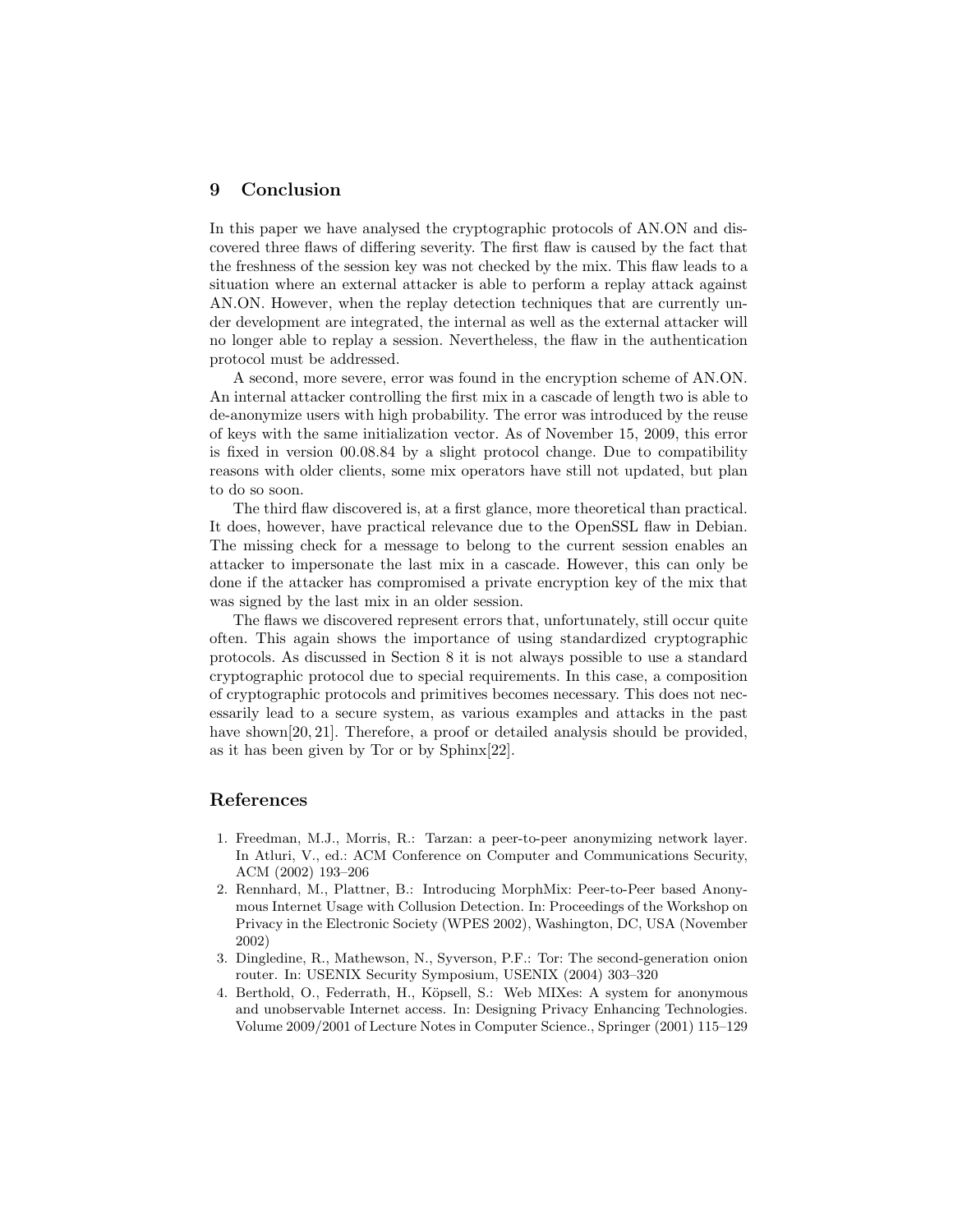## 9 Conclusion

In this paper we have analysed the cryptographic protocols of AN.ON and discovered three flaws of differing severity. The first flaw is caused by the fact that the freshness of the session key was not checked by the mix. This flaw leads to a situation where an external attacker is able to perform a replay attack against AN.ON. However, when the replay detection techniques that are currently under development are integrated, the internal as well as the external attacker will no longer able to replay a session. Nevertheless, the flaw in the authentication protocol must be addressed.

A second, more severe, error was found in the encryption scheme of AN.ON. An internal attacker controlling the first mix in a cascade of length two is able to de-anonymize users with high probability. The error was introduced by the reuse of keys with the same initialization vector. As of November 15, 2009, this error is fixed in version 00.08.84 by a slight protocol change. Due to compatibility reasons with older clients, some mix operators have still not updated, but plan to do so soon.

The third flaw discovered is, at a first glance, more theoretical than practical. It does, however, have practical relevance due to the OpenSSL flaw in Debian. The missing check for a message to belong to the current session enables an attacker to impersonate the last mix in a cascade. However, this can only be done if the attacker has compromised a private encryption key of the mix that was signed by the last mix in an older session.

The flaws we discovered represent errors that, unfortunately, still occur quite often. This again shows the importance of using standardized cryptographic protocols. As discussed in Section 8 it is not always possible to use a standard cryptographic protocol due to special requirements. In this case, a composition of cryptographic protocols and primitives becomes necessary. This does not necessarily lead to a secure system, as various examples and attacks in the past have shown<sup>[20, 21]</sup>. Therefore, a proof or detailed analysis should be provided, as it has been given by Tor or by Sphinx[22].

### References

- 1. Freedman, M.J., Morris, R.: Tarzan: a peer-to-peer anonymizing network layer. In Atluri, V., ed.: ACM Conference on Computer and Communications Security, ACM (2002) 193–206
- 2. Rennhard, M., Plattner, B.: Introducing MorphMix: Peer-to-Peer based Anonymous Internet Usage with Collusion Detection. In: Proceedings of the Workshop on Privacy in the Electronic Society (WPES 2002), Washington, DC, USA (November 2002)
- 3. Dingledine, R., Mathewson, N., Syverson, P.F.: Tor: The second-generation onion router. In: USENIX Security Symposium, USENIX (2004) 303–320
- 4. Berthold, O., Federrath, H., Köpsell, S.: Web MIXes: A system for anonymous and unobservable Internet access. In: Designing Privacy Enhancing Technologies. Volume 2009/2001 of Lecture Notes in Computer Science., Springer (2001) 115–129